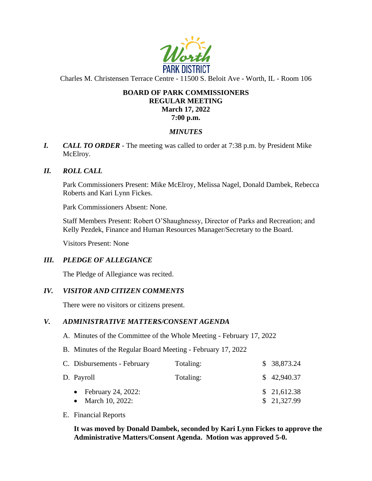

Charles M. Christensen Terrace Centre - 11500 S. Beloit Ave - Worth, IL - Room 106

#### **BOARD OF PARK COMMISSIONERS REGULAR MEETING March 17, 2022 7:00 p.m.**

### *MINUTES*

*I. CALL TO ORDER* - The meeting was called to order at 7:38 p.m. by President Mike McElroy.

### *II. ROLL CALL*

Park Commissioners Present: Mike McElroy, Melissa Nagel, Donald Dambek, Rebecca Roberts and Kari Lynn Fickes.

Park Commissioners Absent: None.

Staff Members Present: Robert O'Shaughnessy, Director of Parks and Recreation; and Kelly Pezdek, Finance and Human Resources Manager/Secretary to the Board.

Visitors Present: None

#### *III. PLEDGE OF ALLEGIANCE*

The Pledge of Allegiance was recited.

#### *IV. VISITOR AND CITIZEN COMMENTS*

There were no visitors or citizens present.

#### *V. ADMINISTRATIVE MATTERS/CONSENT AGENDA*

- A. Minutes of the Committee of the Whole Meeting February 17, 2022
- B. Minutes of the Regular Board Meeting February 17, 2022

| C. Disbursements - February               | Totaling: | \$ 38,873.24               |
|-------------------------------------------|-----------|----------------------------|
| D. Payroll                                | Totaling: | \$42,940.37                |
| • February 24, 2022:<br>• March 10, 2022: |           | \$21,612.38<br>\$21,327.99 |

E. Financial Reports

**It was moved by Donald Dambek, seconded by Kari Lynn Fickes to approve the Administrative Matters/Consent Agenda. Motion was approved 5-0.**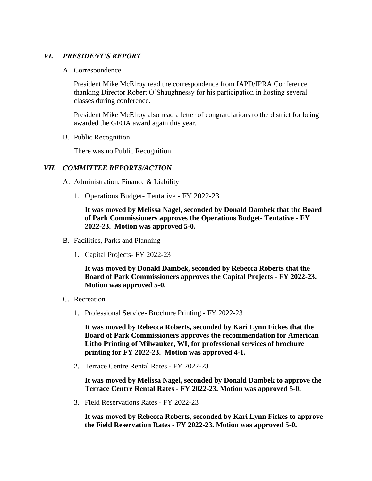### *VI. PRESIDENT'S REPORT*

A. Correspondence

President Mike McElroy read the correspondence from IAPD/IPRA Conference thanking Director Robert O'Shaughnessy for his participation in hosting several classes during conference.

President Mike McElroy also read a letter of congratulations to the district for being awarded the GFOA award again this year.

B. Public Recognition

There was no Public Recognition.

#### *VII. COMMITTEE REPORTS/ACTION*

- A. Administration, Finance & Liability
	- 1. Operations Budget- Tentative FY 2022-23

**It was moved by Melissa Nagel, seconded by Donald Dambek that the Board of Park Commissioners approves the Operations Budget- Tentative - FY 2022-23. Motion was approved 5-0.**

- B. Facilities, Parks and Planning
	- 1. Capital Projects- FY 2022-23

**It was moved by Donald Dambek, seconded by Rebecca Roberts that the Board of Park Commissioners approves the Capital Projects - FY 2022-23. Motion was approved 5-0.**

- C. Recreation
	- 1. Professional Service- Brochure Printing FY 2022-23

**It was moved by Rebecca Roberts, seconded by Kari Lynn Fickes that the Board of Park Commissioners approves the recommendation for American Litho Printing of Milwaukee, WI, for professional services of brochure printing for FY 2022-23. Motion was approved 4-1.** 

2. Terrace Centre Rental Rates - FY 2022-23

**It was moved by Melissa Nagel, seconded by Donald Dambek to approve the Terrace Centre Rental Rates - FY 2022-23. Motion was approved 5-0.** 

3. Field Reservations Rates - FY 2022-23

**It was moved by Rebecca Roberts, seconded by Kari Lynn Fickes to approve the Field Reservation Rates - FY 2022-23. Motion was approved 5-0.**